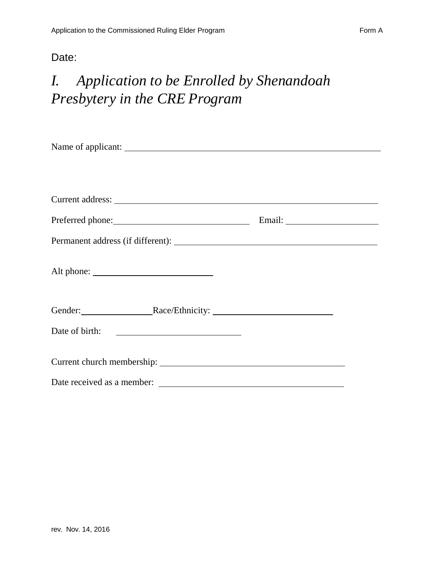#### Date:

# *I. Application to be Enrolled by Shenandoah Presbytery in the CRE Program*

| Preferred phone: Email: Email:                                      |  |
|---------------------------------------------------------------------|--|
|                                                                     |  |
|                                                                     |  |
|                                                                     |  |
|                                                                     |  |
| Date of birth:<br><u> 1980 - Andrea Brand, amerikansk politik (</u> |  |
|                                                                     |  |
| Date received as a member:                                          |  |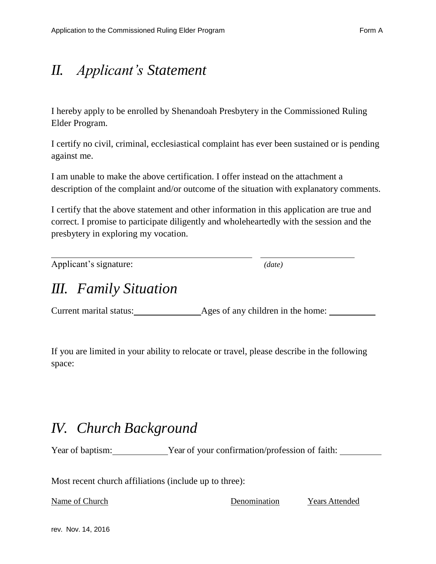# *II. Applicant's Statement*

I hereby apply to be enrolled by Shenandoah Presbytery in the Commissioned Ruling Elder Program.

I certify no civil, criminal, ecclesiastical complaint has ever been sustained or is pending against me.

I am unable to make the above certification. I offer instead on the attachment a description of the complaint and/or outcome of the situation with explanatory comments.

I certify that the above statement and other information in this application are true and correct. I promise to participate diligently and wholeheartedly with the session and the presbytery in exploring my vocation.

Applicant's signature: *(date)*

### *III. Family Situation*

Current marital status: Ages of any children in the home:

If you are limited in your ability to relocate or travel, please describe in the following space:

### *IV. Church Background*

Year of baptism: Year of your confirmation/profession of faith:

Most recent church affiliations (include up to three):

Name of Church Denomination Years Attended

rev. Nov. 14, 2016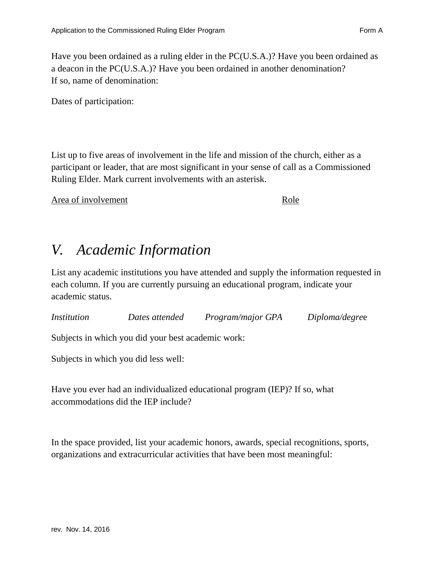Have you been ordained as a ruling elder in the PC(U.S.A.)? Have you been ordained as a deacon in the PC(U.S.A.)? Have you been ordained in another denomination? If so, name of denomination:

Dates of participation:

List up to five areas of involvement in the life and mission of the church, either as a participant or leader, that are most significant in your sense of call as a Commissioned Ruling Elder. Mark current involvements with an asterisk.

Area of involvement Role

### *V. Academic Information*

List any academic institutions you have attended and supply the information requested in each column. If you are currently pursuing an educational program, indicate your academic status.

*Institution Dates attended Program/major GPA Diploma/degre*e

Subjects in which you did your best academic work:

Subjects in which you did less well:

Have you ever had an individualized educational program (IEP)? If so, what accommodations did the IEP include?

In the space provided, list your academic honors, awards, special recognitions, sports, organizations and extracurricular activities that have been most meaningful: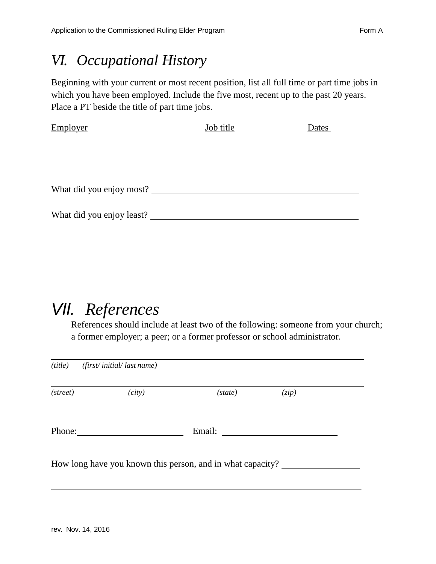#### *VI. Occupational History*

Beginning with your current or most recent position, list all full time or part time jobs in which you have been employed. Include the five most, recent up to the past 20 years. Place a PT beside the title of part time jobs.

| Employer                  | <b>Job title</b> | Dates |
|---------------------------|------------------|-------|
|                           |                  |       |
|                           |                  |       |
|                           |                  |       |
|                           |                  |       |
| What did you enjoy most?  |                  |       |
|                           |                  |       |
| What did you enjoy least? |                  |       |

# *VII. References*

References should include at least two of the following: someone from your church; a former employer; a peer; or a former professor or school administrator.

| (title)  | (first/initial/last name)                                  |         |       |  |
|----------|------------------------------------------------------------|---------|-------|--|
| (street) | (city)                                                     | (state) | (zip) |  |
| Phone:   |                                                            | Email:  |       |  |
|          | How long have you known this person, and in what capacity? |         |       |  |